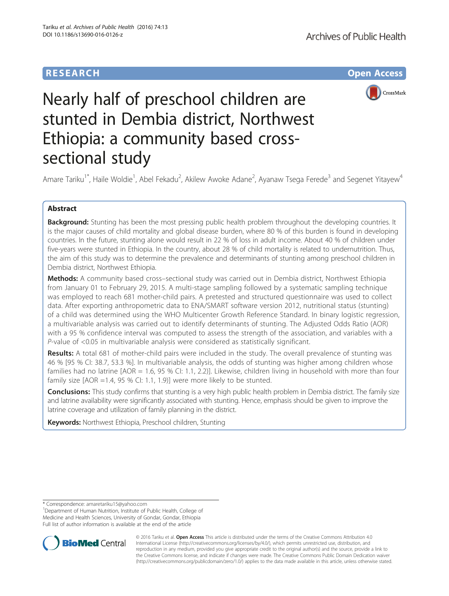## **RESEARCH CHE Open Access**



# Nearly half of preschool children are stunted in Dembia district, Northwest Ethiopia: a community based crosssectional study

Amare Tariku<sup>1\*</sup>, Haile Woldie<sup>1</sup>, Abel Fekadu<sup>2</sup>, Akilew Awoke Adane<sup>2</sup>, Ayanaw Tsega Ferede<sup>3</sup> and Segenet Yitayew<sup>4</sup>

## Abstract

**Background:** Stunting has been the most pressing public health problem throughout the developing countries. It is the major causes of child mortality and global disease burden, where 80 % of this burden is found in developing countries. In the future, stunting alone would result in 22 % of loss in adult income. About 40 % of children under five-years were stunted in Ethiopia. In the country, about 28 % of child mortality is related to undernutrition. Thus, the aim of this study was to determine the prevalence and determinants of stunting among preschool children in Dembia district, Northwest Ethiopia.

Methods: A community based cross-sectional study was carried out in Dembia district, Northwest Ethiopia from January 01 to February 29, 2015. A multi-stage sampling followed by a systematic sampling technique was employed to reach 681 mother-child pairs. A pretested and structured questionnaire was used to collect data. After exporting anthropometric data to ENA/SMART software version 2012, nutritional status (stunting) of a child was determined using the WHO Multicenter Growth Reference Standard. In binary logistic regression, a multivariable analysis was carried out to identify determinants of stunting. The Adjusted Odds Ratio (AOR) with a 95 % confidence interval was computed to assess the strength of the association, and variables with a P-value of <0.05 in multivariable analysis were considered as statistically significant.

Results: A total 681 of mother-child pairs were included in the study. The overall prevalence of stunting was 46 % [95 % CI: 38.7, 53.3 %]. In multivariable analysis, the odds of stunting was higher among children whose families had no latrine [AOR = 1.6, 95 % CI: 1.1, 2.2)]. Likewise, children living in household with more than four family size [AOR =1.4, 95 % CI: 1.1, 1.9)] were more likely to be stunted.

**Conclusions:** This study confirms that stunting is a very high public health problem in Dembia district. The family size and latrine availability were significantly associated with stunting. Hence, emphasis should be given to improve the latrine coverage and utilization of family planning in the district.

Keywords: Northwest Ethiopia, Preschool children, Stunting

<sup>&</sup>lt;sup>1</sup>Department of Human Nutrition, Institute of Public Health, College of Medicine and Health Sciences, University of Gondar, Gondar, Ethiopia Full list of author information is available at the end of the article



© 2016 Tariku et al. Open Access This article is distributed under the terms of the Creative Commons Attribution 4.0 International License [\(http://creativecommons.org/licenses/by/4.0/](http://creativecommons.org/licenses/by/4.0/)), which permits unrestricted use, distribution, and reproduction in any medium, provided you give appropriate credit to the original author(s) and the source, provide a link to the Creative Commons license, and indicate if changes were made. The Creative Commons Public Domain Dedication waiver [\(http://creativecommons.org/publicdomain/zero/1.0/](http://creativecommons.org/publicdomain/zero/1.0/)) applies to the data made available in this article, unless otherwise stated.

<sup>\*</sup> Correspondence: [amaretariku15@yahoo.com](mailto:amaretariku15@yahoo.com) <sup>1</sup>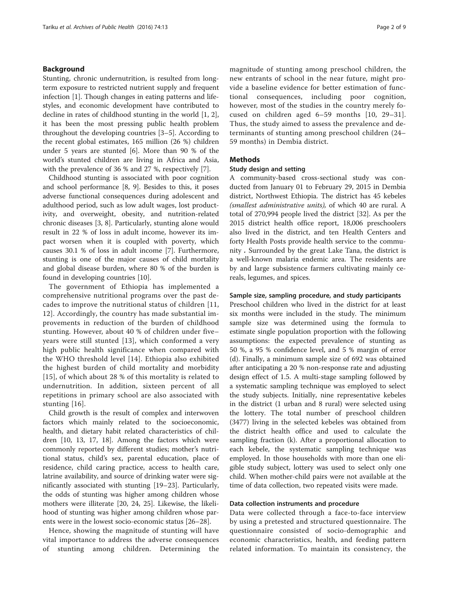## Background

Stunting, chronic undernutrition, is resulted from longterm exposure to restricted nutrient supply and frequent infection [[1\]](#page-7-0). Though changes in eating patterns and lifestyles, and economic development have contributed to decline in rates of childhood stunting in the world [\[1](#page-7-0), [2](#page-7-0)], it has been the most pressing public health problem throughout the developing countries [[3](#page-7-0)–[5\]](#page-7-0). According to the recent global estimates, 165 million (26 %) children under 5 years are stunted [\[6\]](#page-7-0). More than 90 % of the world's stunted children are living in Africa and Asia, with the prevalence of 36 % and 27 %, respectively [[7](#page-7-0)].

Childhood stunting is associated with poor cognition and school performance [\[8](#page-7-0), [9](#page-7-0)]. Besides to this, it poses adverse functional consequences during adolescent and adulthood period, such as low adult wages, lost productivity, and overweight, obesity, and nutrition-related chronic diseases [\[3](#page-7-0), [8](#page-7-0)]. Particularly, stunting alone would result in 22 % of loss in adult income, however its impact worsen when it is coupled with poverty, which causes 30.1 % of loss in adult income [\[7](#page-7-0)]. Furthermore, stunting is one of the major causes of child mortality and global disease burden, where 80 % of the burden is found in developing countries [[10](#page-7-0)].

The government of Ethiopia has implemented a comprehensive nutritional programs over the past decades to improve the nutritional status of children [[11](#page-7-0), [12\]](#page-7-0). Accordingly, the country has made substantial improvements in reduction of the burden of childhood stunting. However, about 40 % of children under five– years were still stunted [[13](#page-7-0)], which conformed a very high public health significance when compared with the WHO threshold level [[14](#page-7-0)]. Ethiopia also exhibited the highest burden of child mortality and morbidity [[15](#page-7-0)], of which about 28 % of this mortality is related to undernutrition. In addition, sixteen percent of all repetitions in primary school are also associated with stunting [[16](#page-7-0)].

Child growth is the result of complex and interwoven factors which mainly related to the socioeconomic, health, and dietary habit related characteristics of children [[10, 13, 17, 18\]](#page-7-0). Among the factors which were commonly reported by different studies; mother's nutritional status, child's sex, parental education, place of residence, child caring practice, access to health care, latrine availability, and source of drinking water were significantly associated with stunting [[19](#page-7-0)–[23](#page-7-0)]. Particularly, the odds of stunting was higher among children whose mothers were illiterate [\[20](#page-7-0), [24](#page-7-0), [25](#page-7-0)]. Likewise, the likelihood of stunting was higher among children whose parents were in the lowest socio-economic status [\[26](#page-7-0)–[28\]](#page-7-0).

Hence, showing the magnitude of stunting will have vital importance to address the adverse consequences of stunting among children. Determining the magnitude of stunting among preschool children, the new entrants of school in the near future, might provide a baseline evidence for better estimation of functional consequences, including poor cognition, however, most of the studies in the country merely focused on children aged 6–59 months [[10](#page-7-0), [29](#page-7-0)–[31](#page-7-0)]. Thus, the study aimed to assess the prevalence and determinants of stunting among preschool children (24– 59 months) in Dembia district.

## **Methods**

## Study design and setting

A community-based cross-sectional study was conducted from January 01 to February 29, 2015 in Dembia district, Northwest Ethiopia. The district has 45 kebeles (smallest administrative units), of which 40 are rural. A total of 270,994 people lived the district [[32](#page-7-0)]. As per the 2015 district health office report, 18,006 preschoolers also lived in the district, and ten Health Centers and forty Health Posts provide health service to the community . Surrounded by the great Lake Tana, the district is a well-known malaria endemic area. The residents are by and large subsistence farmers cultivating mainly cereals, legumes, and spices.

#### Sample size, sampling procedure, and study participants

Preschool children who lived in the district for at least six months were included in the study. The minimum sample size was determined using the formula to estimate single population proportion with the following assumptions: the expected prevalence of stunting as 50 %, a 95 % confidence level, and 5 % margin of error (d). Finally, a minimum sample size of 692 was obtained after anticipating a 20 % non-response rate and adjusting design effect of 1.5. A multi-stage sampling followed by a systematic sampling technique was employed to select the study subjects. Initially, nine representative kebeles in the district (1 urban and 8 rural) were selected using the lottery. The total number of preschool children (3477) living in the selected kebeles was obtained from the district health office and used to calculate the sampling fraction (k). After a proportional allocation to each kebele, the systematic sampling technique was employed. In those households with more than one eligible study subject, lottery was used to select only one child. When mother-child pairs were not available at the time of data collection, two repeated visits were made.

## Data collection instruments and procedure

Data were collected through a face-to-face interview by using a pretested and structured questionnaire. The questionnaire consisted of socio-demographic and economic characteristics, health, and feeding pattern related information. To maintain its consistency, the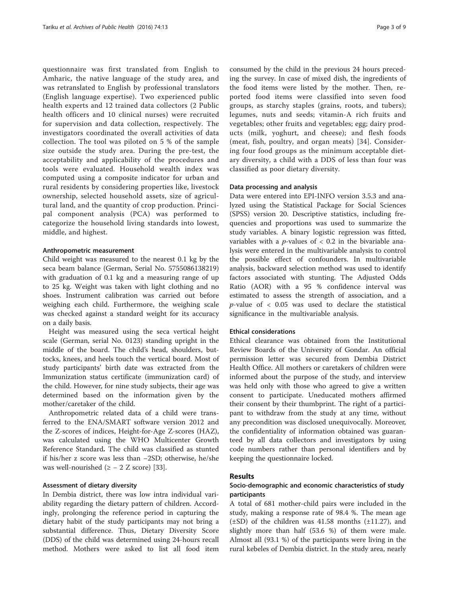questionnaire was first translated from English to Amharic, the native language of the study area, and was retranslated to English by professional translators (English language expertise). Two experienced public health experts and 12 trained data collectors (2 Public health officers and 10 clinical nurses) were recruited for supervision and data collection, respectively. The investigators coordinated the overall activities of data collection. The tool was piloted on 5 % of the sample size outside the study area. During the pre-test, the acceptability and applicability of the procedures and tools were evaluated. Household wealth index was computed using a composite indicator for urban and rural residents by considering properties like, livestock ownership, selected household assets, size of agricultural land, and the quantity of crop production. Principal component analysis (PCA) was performed to categorize the household living standards into lowest, middle, and highest.

## Anthropometric measurement

Child weight was measured to the nearest 0.1 kg by the seca beam balance (German, Serial No. 5755086138219) with graduation of 0.1 kg and a measuring range of up to 25 kg. Weight was taken with light clothing and no shoes. Instrument calibration was carried out before weighing each child. Furthermore, the weighing scale was checked against a standard weight for its accuracy on a daily basis.

Height was measured using the seca vertical height scale (German, serial No. 0123) standing upright in the middle of the board. The child's head, shoulders, buttocks, knees, and heels touch the vertical board. Most of study participants' birth date was extracted from the Immunization status certificate (immunization card) of the child. However, for nine study subjects, their age was determined based on the information given by the mother/caretaker of the child.

Anthropometric related data of a child were transferred to the ENA/SMART software version 2012 and the Z-scores of indices, Height-for-Age Z-scores (HAZ), was calculated using the WHO Multicenter Growth Reference Standard. The child was classified as stunted if his/her z score was less than −2SD; otherwise, he/she was well-nourished ( $\ge -2$  Z score) [\[33](#page-7-0)].

## Assessment of dietary diversity

In Dembia district, there was low intra individual variability regarding the dietary pattern of children. Accordingly, prolonging the reference period in capturing the dietary habit of the study participants may not bring a substantial difference. Thus, Dietary Diversity Score (DDS) of the child was determined using 24-hours recall method. Mothers were asked to list all food item

consumed by the child in the previous 24 hours preceding the survey. In case of mixed dish, the ingredients of the food items were listed by the mother. Then, reported food items were classified into seven food groups, as starchy staples (grains, roots, and tubers); legumes, nuts and seeds; vitamin-A rich fruits and vegetables; other fruits and vegetables; egg; dairy products (milk, yoghurt, and cheese); and flesh foods (meat, fish, poultry, and organ meats) [[34](#page-7-0)]. Considering four food groups as the minimum acceptable dietary diversity, a child with a DDS of less than four was classified as poor dietary diversity.

## Data processing and analysis

Data were entered into EPI-INFO version 3.5.3 and analyzed using the Statistical Package for Social Sciences (SPSS) version 20. Descriptive statistics, including frequencies and proportions was used to summarize the study variables. A binary logistic regression was fitted, variables with a *p*-values of  $< 0.2$  in the bivariable analysis were entered in the multivariable analysis to control the possible effect of confounders. In multivariable analysis, backward selection method was used to identify factors associated with stunting. The Adjusted Odds Ratio (AOR) with a 95 % confidence interval was estimated to assess the strength of association, and a  $p$ -value of  $\lt$  0.05 was used to declare the statistical significance in the multivariable analysis.

#### Ethical considerations

Ethical clearance was obtained from the Institutional Review Boards of the University of Gondar. An official permission letter was secured from Dembia District Health Office. All mothers or caretakers of children were informed about the purpose of the study, and interview was held only with those who agreed to give a written consent to participate. Uneducated mothers affirmed their consent by their thumbprint. The right of a participant to withdraw from the study at any time, without any precondition was disclosed unequivocally. Moreover, the confidentiality of information obtained was guaranteed by all data collectors and investigators by using code numbers rather than personal identifiers and by keeping the questionnaire locked.

## Results

## Socio-demographic and economic characteristics of study participants

A total of 681 mother-child pairs were included in the study, making a response rate of 98.4 %. The mean age  $(\pm SD)$  of the children was 41.58 months  $(\pm 11.27)$ , and slightly more than half (53.6 %) of them were male. Almost all (93.1 %) of the participants were living in the rural kebeles of Dembia district. In the study area, nearly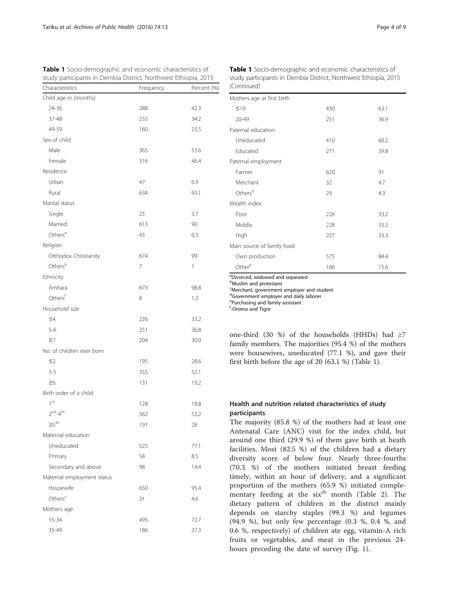Table 1 Socio-demographic and economic characteristics of study participants in Dembia District, Northwest Ethiopia, 2015

| Characteristics            | Frequency | Percent (%) |
|----------------------------|-----------|-------------|
| Child age in (months)      |           |             |
| 24-36                      | 288       | 42.3        |
| 37-48                      | 233       | 34.2        |
| 49-59                      | 160       | 23.5        |
| Sex of child               |           |             |
| Male                       | 365       | 53.6        |
| Female                     | 316       | 46.4        |
| Residence                  |           |             |
| Urban                      | 47        | 6.9         |
| Rural                      | 634       | 93.1        |
| Marital status             |           |             |
| Single                     | 25        | 3.7         |
| Married                    | 613       | 90          |
| Others <sup>a</sup>        | 43        | 6.3         |
| Religion                   |           |             |
| Orthodox Christianity      | 674       | 99          |
| Othersb                    | 7         | 1           |
| Ethnicity                  |           |             |
| Amhara                     | 673       | 98.8        |
| Othersf                    | 8         | 1.2         |
| Household size             |           |             |
| $\leq 4$                   | 226       | 33.2        |
| $5 - 6$                    | 251       | 36.8        |
| $\geq 7$                   | 204       | 30.0        |
| No. of children ever born  |           |             |
| $\leq$ 2                   | 195       | 28.6        |
| $3 - 5$                    | 355       | 52.1        |
| $\geq 6$                   | 131       | 19.2        |
| Birth order of a child     |           |             |
| 1 <sup>st</sup>            | 128       | 18.8        |
| $2nd-4th$                  | 362       | 53.2        |
| $\geq 5^{\text{th}}$       | 191       | 28          |
| Maternal education         |           |             |
| Uneducated                 | 525       | 77.1        |
| Primary                    | 58        | 8.5         |
| Secondary and above        | 98        | 14.4        |
| Maternal employment status |           |             |
| Housewife                  | 650       | 95.4        |
| Others $c$                 | 31        | 4.6         |
| Mothers age                |           |             |
| 15-34                      | 495       | 72.7        |
| 35-49                      | 186       | 27.3        |
|                            |           |             |

|             | Table 1 Socio-demographic and economic characteristics of       |
|-------------|-----------------------------------------------------------------|
|             | study participants in Dembia District, Northwest Ethiopia, 2015 |
| (Continued) |                                                                 |

| Mothers age at first birth |     |      |  |  |
|----------------------------|-----|------|--|--|
| $\leq 19$                  | 430 | 63.1 |  |  |
| 20-49                      | 251 | 36.9 |  |  |
| Paternal education         |     |      |  |  |
| Uneducated                 | 410 | 60.2 |  |  |
| Educated                   | 271 | 39.8 |  |  |
| Paternal employment        |     |      |  |  |
| Farmer                     | 620 | 91   |  |  |
| Merchant                   | 32  | 4.7  |  |  |
| Others <sup>d</sup>        | 29  | 4.3  |  |  |
| Wealth index               |     |      |  |  |
| Poor                       | 226 | 33.2 |  |  |
| Middle                     | 228 | 33.5 |  |  |
| High                       | 227 | 33.3 |  |  |
| Main source of family food |     |      |  |  |
| Own production             | 575 | 84.4 |  |  |
| Other <sup>e</sup>         | 106 | 15.6 |  |  |

a Divorced, widowed and separated

**b**Muslim and protestant

c Merchant, government employer and student

dGovernment employer and daily laborer

e Purchasing and family assistant

f -Oromo and Tigre

one-third (30 %) of the households (HHDs) had ≥7 family members. The majorities (95.4 %) of the mothers were housewives, uneducated (77.1 %), and gave their first birth before the age of 20 (63.1 %) (Table 1).

## Health and nutrition related characteristics of study participants

The majority (85.8 %) of the mothers had at least one Antenatal Care (ANC) visit for the index child, but around one third (29.9 %) of them gave birth at heath facilities. Most (82.5 %) of the children had a dietary diversity score of below four. Nearly three-fourths (70.3 %) of the mothers initiated breast feeding timely, within an hour of delivery, and a significant proportion of the mothers (65.9 %) initiated comple-mentary feeding at the six<sup>th</sup> month (Table [2](#page-4-0)). The dietary pattern of children in the district mainly depends on starchy staples (99.3 %) and legumes (94.9 %), but only few percentage (0.3 %, 0.4 %, and 0.6 %, respectively) of children ate egg, vitamin-A rich fruits or vegetables, and meat in the previous 24 hours preceding the date of survey (Fig. [1\)](#page-5-0).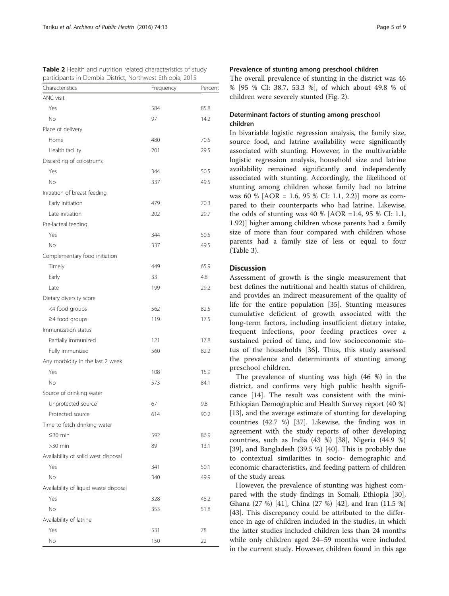<span id="page-4-0"></span>

| Characteristics                       | Frequency | Percent |
|---------------------------------------|-----------|---------|
| ANC visit                             |           |         |
| Yes                                   | 584       | 85.8    |
| No                                    | 97        | 14.2    |
| Place of delivery                     |           |         |
| Home                                  | 480       | 70.5    |
| Health facility                       | 201       | 29.5    |
| Discarding of colostrums              |           |         |
| Yes                                   | 344       | 50.5    |
| <b>No</b>                             | 337       | 49.5    |
| Initiation of breast feeding          |           |         |
| Early initiation                      | 479       | 70.3    |
| Late initiation                       | 202       | 29.7    |
| Pre-lacteal feeding                   |           |         |
| Yes                                   | 344       | 50.5    |
| No                                    | 337       |         |
|                                       |           | 49.5    |
| Complementary food initiation         |           |         |
| Timely                                | 449       | 65.9    |
| Early                                 | 33        | 4.8     |
| Late                                  | 199       | 29.2    |
| Dietary diversity score               |           |         |
| <4 food groups                        | 562       | 82.5    |
| $\geq$ 4 food groups                  | 119       | 17.5    |
| Immunization status                   |           |         |
| Partially immunized                   | 121       | 17.8    |
| Fully immunized                       | 560       | 82.2    |
| Any morbidity in the last 2 week      |           |         |
| Yes                                   | 108       | 15.9    |
| No                                    | 573       | 84.1    |
| Source of drinking water              |           |         |
| Unprotected source                    | 67        | 9.8     |
| Protected source                      | 614       | 90.2    |
| Time to fetch drinking water          |           |         |
| ≤30 min                               | 592       | 86.9    |
| $>30$ min                             | 89        | 13.1    |
| Availability of solid west disposal   |           |         |
| Yes                                   | 341       | 50.1    |
| No                                    | 340       | 49.9    |
| Availability of liquid waste disposal |           |         |
| Yes                                   | 328       | 48.2    |
| No                                    | 353       | 51.8    |
| Availability of latrine               |           |         |
| Yes                                   | 531       | 78      |
| No                                    | 150       | 22      |

## Prevalence of stunting among preschool children

The overall prevalence of stunting in the district was 46 % [95 % CI: 38.7, 53.3 %], of which about 49.8 % of children were severely stunted (Fig. [2\)](#page-5-0).

## Determinant factors of stunting among preschool children

In bivariable logistic regression analysis, the family size, source food, and latrine availability were significantly associated with stunting. However, in the multivariable logistic regression analysis, household size and latrine availability remained significantly and independently associated with stunting. Accordingly, the likelihood of stunting among children whose family had no latrine was 60 % [AOR = 1.6, 95 % CI: 1.1, 2.2)] more as compared to their counterparts who had latrine. Likewise, the odds of stunting was 40 % [AOR =1.4, 95 % CI: 1.1, 1.92)] higher among children whose parents had a family size of more than four compared with children whose parents had a family size of less or equal to four (Table [3\)](#page-6-0).

## **Discussion**

Assessment of growth is the single measurement that best defines the nutritional and health status of children, and provides an indirect measurement of the quality of life for the entire population [\[35\]](#page-7-0). Stunting measures cumulative deficient of growth associated with the long-term factors, including insufficient dietary intake, frequent infections, poor feeding practices over a sustained period of time, and low socioeconomic status of the households [\[36](#page-7-0)]. Thus, this study assessed the prevalence and determinants of stunting among preschool children.

The prevalence of stunting was high (46 %) in the district, and confirms very high public health significance [\[14](#page-7-0)]. The result was consistent with the mini-Ethiopian Demographic and Health Survey report (40 %) [[13\]](#page-7-0), and the average estimate of stunting for developing countries (42.7 %) [[37\]](#page-8-0). Likewise, the finding was in agreement with the study reports of other developing countries, such as India (43 %) [[38\]](#page-8-0), Nigeria (44.9 %) [[39\]](#page-8-0), and Bangladesh (39.5 %) [[40](#page-8-0)]. This is probably due to contextual similarities in socio- demographic and economic characteristics, and feeding pattern of children of the study areas.

However, the prevalence of stunting was highest compared with the study findings in Somali, Ethiopia [\[30](#page-7-0)], Ghana (27 %) [\[41\]](#page-8-0), China (27 %) [[42\]](#page-8-0), and Iran (11.5 %) [[43\]](#page-8-0). This discrepancy could be attributed to the difference in age of children included in the studies, in which the latter studies included children less than 24 months while only children aged 24–59 months were included in the current study. However, children found in this age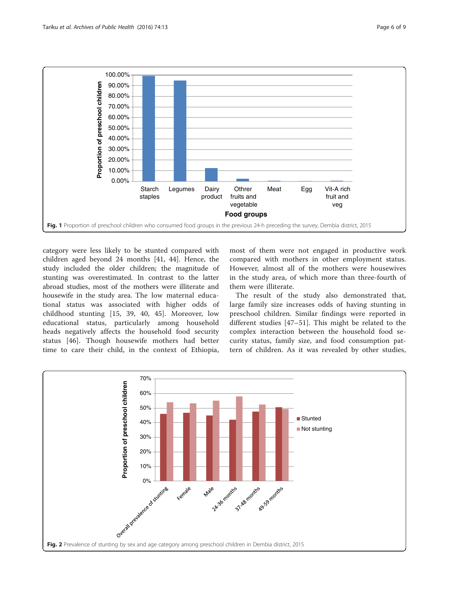<span id="page-5-0"></span>

category were less likely to be stunted compared with children aged beyond 24 months [\[41](#page-8-0), [44](#page-8-0)]. Hence, the study included the older children; the magnitude of stunting was overestimated. In contrast to the latter abroad studies, most of the mothers were illiterate and housewife in the study area. The low maternal educational status was associated with higher odds of childhood stunting [[15,](#page-7-0) [39, 40](#page-8-0), [45](#page-8-0)]. Moreover, low educational status, particularly among household heads negatively affects the household food security status [\[46](#page-8-0)]. Though housewife mothers had better time to care their child, in the context of Ethiopia,

most of them were not engaged in productive work compared with mothers in other employment status. However, almost all of the mothers were housewives in the study area, of which more than three-fourth of them were illiterate.

The result of the study also demonstrated that, large family size increases odds of having stunting in preschool children. Similar findings were reported in different studies [\[47](#page-8-0)–[51](#page-8-0)]. This might be related to the complex interaction between the household food security status, family size, and food consumption pattern of children. As it was revealed by other studies,

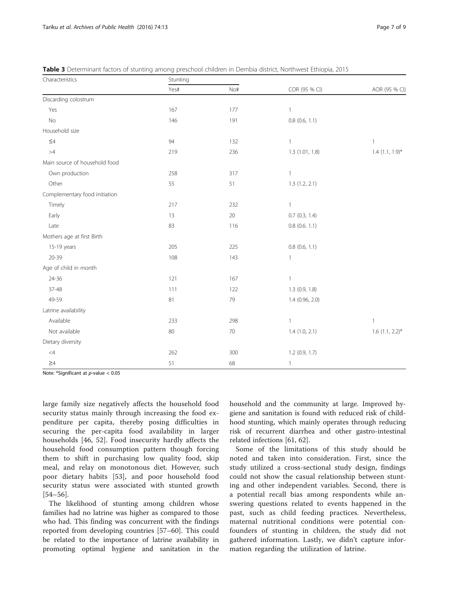| Characteristics               | Stunting |     |                    |                      |
|-------------------------------|----------|-----|--------------------|----------------------|
|                               | Yes#     | No# | COR (95 % CI)      | AOR (95 % CI)        |
| Discarding colostrum          |          |     |                    |                      |
| Yes                           | 167      | 177 | 1                  |                      |
| No                            | 146      | 191 | $0.8$ (0.6, 1.1)   |                      |
| Household size                |          |     |                    |                      |
| $\leq\!\!4$                   | 94       | 132 | 1                  | $\mathbf{1}$         |
| >4                            | 219      | 236 | 1.3(1.01, 1.8)     | $1.4$ $(1.1, 1.9)$ * |
| Main source of household food |          |     |                    |                      |
| Own production                | 258      | 317 | 1                  |                      |
| Other                         | 55       | 51  | 1.3(1.2, 2.1)      |                      |
| Complementary food initiation |          |     |                    |                      |
| Timely                        | 217      | 232 | 1                  |                      |
| Early                         | 13       | 20  | $0.7$ $(0.3, 1.4)$ |                      |
| Late                          | 83       | 116 | $0.8$ (0.6. 1.1)   |                      |
| Mothers age at first Birth    |          |     |                    |                      |
| 15-19 years                   | 205      | 225 | $0.8$ (0.6, 1.1)   |                      |
| 20-39                         | 108      | 143 | 1                  |                      |
| Age of child in month         |          |     |                    |                      |
| 24-36                         | 121      | 167 | 1                  |                      |
| 37-48                         | 111      | 122 | $1.3$ (0.9, 1.8)   |                      |
| 49-59                         | 81       | 79  | 1.4 (0.96, 2.0)    |                      |
| Latrine availability          |          |     |                    |                      |
| Available                     | 233      | 298 | $\mathbf{1}$       | $\mathbf{1}$         |
| Not available                 | 80       | 70  | $1.4$ $(1.0, 2.1)$ | $1.6$ (1.1, 2.2)*    |
| Dietary diversity             |          |     |                    |                      |
| $\leq 4$                      | 262      | 300 | $1.2$ (0.9, 1.7)   |                      |
| $\geq 4$                      | 51       | 68  | $\mathbf{1}$       |                      |

<span id="page-6-0"></span>Table 3 Determinant factors of stunting among preschool children in Dembia district, Northwest Ethiopia, 2015

Note: \*Significant at  $p$ -value  $< 0.05$ 

large family size negatively affects the household food security status mainly through increasing the food expenditure per capita, thereby posing difficulties in securing the per-capita food availability in larger households [[46, 52](#page-8-0)]. Food insecurity hardly affects the household food consumption pattern though forcing them to shift in purchasing low quality food, skip meal, and relay on monotonous diet. However, such poor dietary habits [[53\]](#page-8-0), and poor household food security status were associated with stunted growth [[54](#page-8-0)–[56\]](#page-8-0).

The likelihood of stunting among children whose families had no latrine was higher as compared to those who had. This finding was concurrent with the findings reported from developing countries [[57](#page-8-0)–[60](#page-8-0)]. This could be related to the importance of latrine availability in promoting optimal hygiene and sanitation in the household and the community at large. Improved hygiene and sanitation is found with reduced risk of childhood stunting, which mainly operates through reducing risk of recurrent diarrhea and other gastro-intestinal related infections [\[61](#page-8-0), [62](#page-8-0)].

Some of the limitations of this study should be noted and taken into consideration. First, since the study utilized a cross-sectional study design, findings could not show the casual relationship between stunting and other independent variables. Second, there is a potential recall bias among respondents while answering questions related to events happened in the past, such as child feeding practices. Nevertheless, maternal nutritional conditions were potential confounders of stunting in children, the study did not gathered information. Lastly, we didn't capture information regarding the utilization of latrine.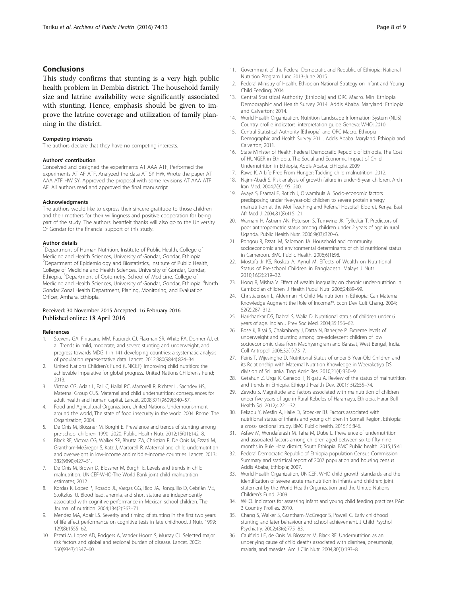## <span id="page-7-0"></span>Conclusions

This study confirms that stunting is a very high public health problem in Dembia district. The household family size and latrine availability were significantly associated with stunting. Hence, emphasis should be given to improve the latrine coverage and utilization of family planning in the district.

#### Competing interests

The authors declare that they have no competing interests.

#### Authors' contribution

Conceived and designed the experiments AT AAA ATF, Performed the experiments AT AF ATF, Analyzed the data AT SY HW, Wrote the paper AT AAA ATF HW SY, Approved the proposal with some revisions AT AAA ATF AF. All authors read and approved the final manuscript.

#### Acknowledgments

The authors would like to express their sincere gratitude to those children and their mothers for their willingness and positive cooperation for being part of the study. The authors' heartfelt thanks will also go to the University Of Gondar for the financial support of this study.

#### Author details

<sup>1</sup>Department of Human Nutrition, Institute of Public Health, College of Medicine and Health Sciences, University of Gondar, Gondar, Ethiopia. <sup>2</sup> Department of Epidemiology and Biostatistics, Institute of Public Health, College of Medicine and Health Sciences, University of Gondar, Gondar, Ethiopia. <sup>3</sup>Department of Optometry, School of Medicine, College of Medicine and Health Sciences, University of Gondar, Gondar, Ethiopia. <sup>4</sup>North Gondar Zonal Health Department, Planing, Monitoring, and Evaluation Officer, Amhara, Ethiopia.

## Received: 30 November 2015 Accepted: 16 February 2016 Published online: 18 April 2016

#### References

- 1. Stevens GA, Finucane MM, Paciorek CJ, Flaxman SR, White RA, Donner AJ, et al. Trends in mild, moderate, and severe stunting and underweight, and progress towards MDG 1 in 141 developing countries: a systematic analysis of population representative data. Lancet. 2012;380(9844):824–34.
- 2. United Nations Children's Fund (UNICEF). Improving child nutrition: the achievable imperative for global progress. United Nations Children's Fund; 2013.
- 3. Victora CG, Adair L, Fall C, Hallal PC, Martorell R, Richter L, Sachdev HS, Maternal Group CUS. Maternal and child undernutrition: consequences for adult health and human capital. Lancet. 2008;371(9609):340–57.
- 4. Food and Agricultural Organization, United Nations. Undernourishment around the world, The state of food insecurity in the world 2004. Rome: The Organization; 2004.
- 5. De Onis M, Blössner M, Borghi E. Prevalence and trends of stunting among pre-school children, 1990–2020. Public Health Nutr. 2012;15(01):142–8.
- 6. Black RE, Victora CG, Walker SP, Bhutta ZA, Christian P, De Onis M, Ezzati M, Grantham-McGregor S, Katz J, Martorell R. Maternal and child undernutrition and overweight in low-income and middle-income countries. Lancet. 2013; 382(9890):427–51.
- De Onis M, Brown D, Blossner M, Borghi E. Levels and trends in child malnutrition. UNICEF-WHO-The World Bank joint child malnutrition estimates; 2012.
- Kordas K, Lopez P, Rosado JL, Vargas GG, Rico JA, Ronquillo D, Cebrián ME, Stoltzfus RJ. Blood lead, anemia, and short stature are independently associated with cognitive performance in Mexican school children. The Journal of nutrition. 2004;134(2):363–71.
- 9. Mendez MA, Adair LS. Severity and timing of stunting in the first two years of life affect performance on cognitive tests in late childhood. J Nutr. 1999; 129(8):1555–62.
- 10. Ezzati M, Lopez AD, Rodgers A, Vander Hoorn S, Murray CJ. Selected major risk factors and global and regional burden of disease. Lancet. 2002; 360(9343):1347–60.
- 11. Government of the Federal Democratic and Republic of Ethiopia: National Nutrition Program June 2013-June 2015
- 12. Federal Ministry of Health. Ethiopian National Strategy on Infant and Young Child Feeding; 2004
- 13. Central Statistical Authority [Ethiopia] and ORC Macro. Mini Ethiopia Demographic and Health Survey 2014. Addis Ababa. Maryland: Ethiopia and Calverton; 2014.
- 14. World Health Organization. Nutrition Landscape Information System (NLIS). Country profile indicators: interpretation guide Geneva: WHO; 2010.
- 15. Central Statistical Authority [Ethiopia] and ORC Macro. Ethiopia Demographic and Health Survey 2011. Addis Ababa. Maryland: Ethiopia and Calverton; 2011.
- 16. State Minister of Health, Federal Democratic Republic of Ethiopia, The Cost of HUNGER in Ethiopia, The Social and Economic Impact of Child Undernutrition in Ethiopia, Addis Ababa, Ethiopia, 2009
- 17. Rawe K. A Life Free From Hunger: Tackling child malnutrition. 2012.
- 18. Najm-Abadi S. Risk analysis of growth failure in under-5-year children. Arch Iran Med. 2004;7(3):195–200.
- 19. Ayaya S, Esamai F, Rotich J, Olwambula A. Socio-economic factors predisposing under five-year-old children to severe protein energy malnutrition at the Moi Teaching and Referral Hospital, Eldoret, Kenya. East Afr Med J. 2004;81(8):415–21.
- 20. Wamani H, Åstrøm AN, Peterson S, Tumwine JK, Tylleskär T. Predictors of poor anthropometric status among children under 2 years of age in rural Uganda. Public Health Nutr. 2006;9(03):320–6.
- 21. Pongou R, Ezzati M, Salomon JA. Household and community socioeconomic and environmental determinants of child nutritional status in Cameroon. BMC Public Health. 2006;6(1):98.
- 22. Mostafa Jr KS, Rosliza A, Aynul M. Effects of Wealth on Nutritional Status of Pre-school Children in Bangladesh. Malays J Nutr. 2010;16(2):219–32.
- 23. Hong R, Mishra V. Effect of wealth inequality on chronic under-nutrition in Cambodian children. J Health Pupul Nutr. 2006;24:89–99.
- 24. Christiaensen L, Alderman H. Child Malnutrition in Ethiopia: Can Maternal Knowledge Augment the Role of Income?\*. Econ Dev Cult Chang. 2004; 52(2):287–312.
- 25. Harishankar DS, Dabral S, Walia D. Nutritional status of children under 6 years of age. Indian J Prev Soc Med. 2004;35:156–62.
- 26. Bose K, Bisai S, Chakraborty J, Datta N, Banerjee P. Extreme levels of underweight and stunting among pre-adolescent children of low socioeconomic class from Madhyamgram and Barasat, West Bengal, India. Coll Antropol. 2008;32(1):73–7.
- 27. Peiris T, Wijesinghe D. Nutritional Status of under 5 Year-Old Children and its Relationship with Maternal Nutrition Knowledge in Weeraketiya DS division of Sri Lanka. Trop Agric Res. 2010;21(4):330–9.
- 28. Getahun Z, Urga K, Genebo T, Nigatu A. Review of the status of malnutrition and trends in Ethiopia. Ethiop J Health Dev. 2001;15(2):55–74.
- 29. Zewdu S. Magnitude and factors associated with malnutrition of children under five years of age in Rural Kebeles of Haramaya, Ethiopia. Harar Bull Health Sci. 2012;4:221–32.
- 30. Fekadu Y, Mesfin A, Haile D, Stoecker BJ. Factors associated with nutritional status of infants and young children in Somali Region, Ethiopia: a cross- sectional study. BMC Public health. 2015;15:846.
- 31. Asfaw M, Wondaferash M, Taha M, Dube L. Prevalence of undernutrition and associated factors among children aged between six to fifty nine months in Bule Hora district, South Ethiopia. BMC Public health. 2015;15:41.
- 32. Federal Democratic Republic of Ethiopia population Census Commission. Summary and statistical report of 2007 population and housing census. Addis Ababa, Ethiopia; 2007.
- 33. World Health Organization, UNICEF. WHO child growth standards and the identification of severe acute malnutrition in infants and children: joint statement by the World Health Organization and the United Nations Children's Fund. 2009.
- 34. WHO. Indicators for assessing infant and young child feeding practices PArt 3 Country Profiles. 2010.
- 35. Chang S, Walker S, Grantham‐McGregor S, Powell C. Early childhood stunting and later behaviour and school achievement. J Child Psychol Psychiatry. 2002;43(6):775–83.
- 36. Caulfield LE, de Onis M, Blössner M, Black RE. Undernutrition as an underlying cause of child deaths associated with diarrhea, pneumonia, malaria, and measles. Am J Clin Nutr. 2004;80(1):193–8.